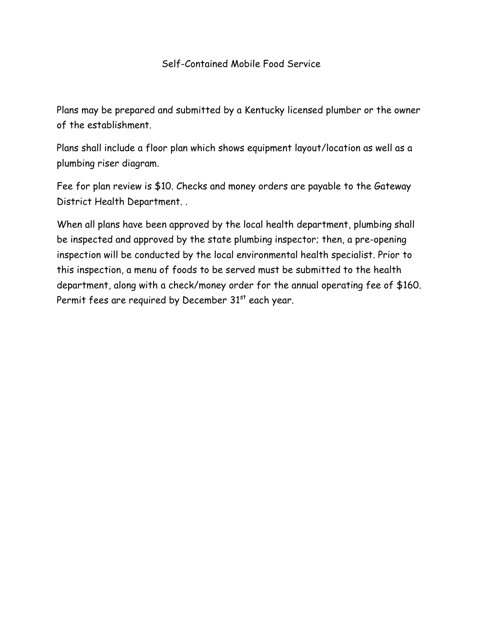## Self-Contained Mobile Food Service

Plans may be prepared and submitted by a Kentucky licensed plumber or the owner of the establishment.

Plans shall include a floor plan which shows equipment layout/location as well as a plumbing riser diagram.

Fee for plan review is \$10. Checks and money orders are payable to the Gateway District Health Department. .

When all plans have been approved by the local health department, plumbing shall be inspected and approved by the state plumbing inspector; then, a pre-opening inspection will be conducted by the local environmental health specialist. Prior to this inspection, a menu of foods to be served must be submitted to the health department, along with a check/money order for the annual operating fee of \$160. Permit fees are required by December  $31<sup>st</sup>$  each year.